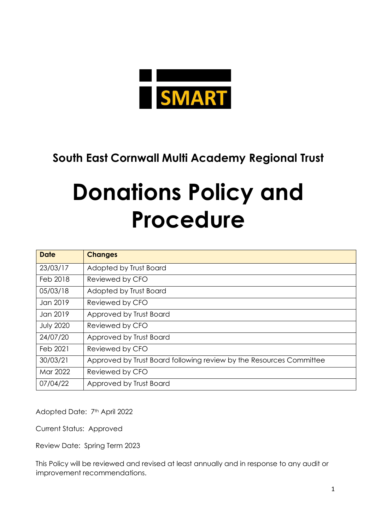

## **South East Cornwall Multi Academy Regional Trust**

# **Donations Policy and Procedure**

| <b>Date</b>      | <b>Changes</b>                                                      |
|------------------|---------------------------------------------------------------------|
| 23/03/17         | Adopted by Trust Board                                              |
| Feb 2018         | Reviewed by CFO                                                     |
| 05/03/18         | Adopted by Trust Board                                              |
| Jan 2019         | Reviewed by CFO                                                     |
| Jan 2019         | Approved by Trust Board                                             |
| <b>July 2020</b> | Reviewed by CFO                                                     |
| 24/07/20         | Approved by Trust Board                                             |
| Feb 2021         | Reviewed by CFO                                                     |
| 30/03/21         | Approved by Trust Board following review by the Resources Committee |
| Mar 2022         | Reviewed by CFO                                                     |
| 07/04/22         | Approved by Trust Board                                             |

Adopted Date: 7<sup>th</sup> April 2022

Current Status: Approved

Review Date: Spring Term 2023

This Policy will be reviewed and revised at least annually and in response to any audit or improvement recommendations.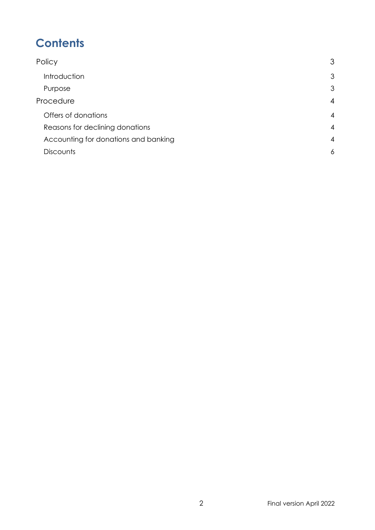# **Contents**

| 3              |
|----------------|
| 3              |
| 3              |
| $\overline{4}$ |
| $\overline{4}$ |
| $\overline{4}$ |
| $\overline{4}$ |
| 6              |
|                |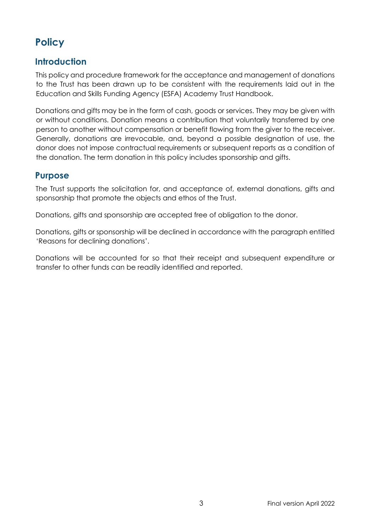## <span id="page-2-0"></span>**Policy**

## <span id="page-2-1"></span>**Introduction**

This policy and procedure framework for the acceptance and management of donations to the Trust has been drawn up to be consistent with the requirements laid out in the Education and Skills Funding Agency (ESFA) Academy Trust Handbook.

Donations and gifts may be in the form of cash, goods or services. They may be given with or without conditions. Donation means a contribution that voluntarily transferred by one person to another without compensation or benefit flowing from the giver to the receiver. Generally, donations are irrevocable, and, beyond a possible designation of use, the donor does not impose contractual requirements or subsequent reports as a condition of the donation. The term donation in this policy includes sponsorship and gifts.

#### <span id="page-2-2"></span>**Purpose**

The Trust supports the solicitation for, and acceptance of, external donations, gifts and sponsorship that promote the objects and ethos of the Trust.

Donations, gifts and sponsorship are accepted free of obligation to the donor.

Donations, gifts or sponsorship will be declined in accordance with the paragraph entitled 'Reasons for declining donations'.

Donations will be accounted for so that their receipt and subsequent expenditure or transfer to other funds can be readily identified and reported.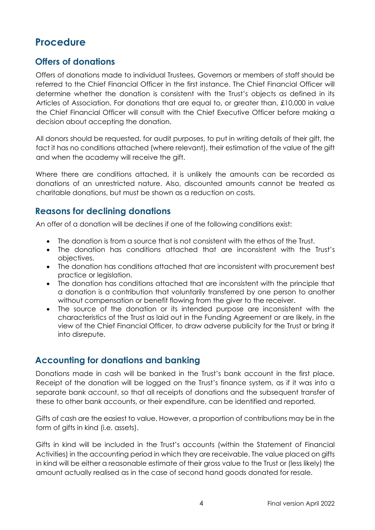## <span id="page-3-0"></span>**Procedure**

## <span id="page-3-1"></span>**Offers of donations**

Offers of donations made to individual Trustees, Governors or members of staff should be referred to the Chief Financial Officer in the first instance. The Chief Financial Officer will determine whether the donation is consistent with the Trust's objects as defined in its Articles of Association. For donations that are equal to, or greater than, £10,000 in value the Chief Financial Officer will consult with the Chief Executive Officer before making a decision about accepting the donation.

All donors should be requested, for audit purposes, to put in writing details of their gift, the fact it has no conditions attached (where relevant), their estimation of the value of the gift and when the academy will receive the gift.

Where there are conditions attached, it is unlikely the amounts can be recorded as donations of an unrestricted nature. Also, discounted amounts cannot be treated as charitable donations, but must be shown as a reduction on costs.

## <span id="page-3-2"></span>**Reasons for declining donations**

An offer of a donation will be declines if one of the following conditions exist:

- The donation is from a source that is not consistent with the ethos of the Trust.
- The donation has conditions attached that are inconsistent with the Trust's objectives.
- The donation has conditions attached that are inconsistent with procurement best practice or legislation.
- The donation has conditions attached that are inconsistent with the principle that a donation is a contribution that voluntarily transferred by one person to another without compensation or benefit flowing from the giver to the receiver.
- The source of the donation or its intended purpose are inconsistent with the characteristics of the Trust as laid out in the Funding Agreement or are likely, in the view of the Chief Financial Officer, to draw adverse publicity for the Trust or bring it into disrepute.

## <span id="page-3-3"></span>**Accounting for donations and banking**

Donations made in cash will be banked in the Trust's bank account in the first place. Receipt of the donation will be logged on the Trust's finance system, as if it was into a separate bank account, so that all receipts of donations and the subsequent transfer of these to other bank accounts, or their expenditure, can be identified and reported.

Gifts of cash are the easiest to value. However, a proportion of contributions may be in the form of gifts in kind (i.e. assets).

Gifts in kind will be included in the Trust's accounts (within the Statement of Financial Activities) in the accounting period in which they are receivable. The value placed on gifts in kind will be either a reasonable estimate of their gross value to the Trust or (less likely) the amount actually realised as in the case of second hand goods donated for resale.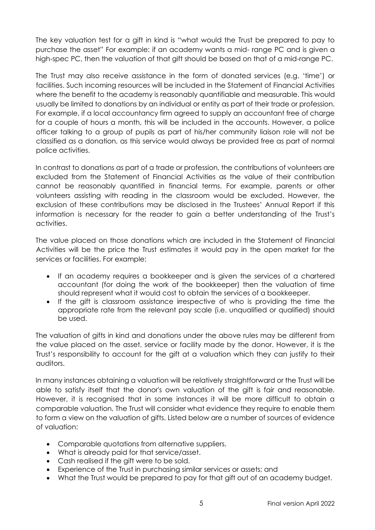The key valuation test for a gift in kind is "what would the Trust be prepared to pay to purchase the asset" For example: if an academy wants a mid- range PC and is given a high-spec PC, then the valuation of that gift should be based on that of a mid-range PC.

The Trust may also receive assistance in the form of donated services (e.g. 'time') or facilities. Such incoming resources will be included in the Statement of Financial Activities where the benefit to the academy is reasonably quantifiable and measurable. This would usually be limited to donations by an individual or entity as part of their trade or profession. For example, if a local accountancy firm agreed to supply an accountant free of charge for a couple of hours a month, this will be included in the accounts. However, a police officer talking to a group of pupils as part of his/her community liaison role will not be classified as a donation, as this service would always be provided free as part of normal police activities.

In contrast to donations as part of a trade or profession, the contributions of volunteers are excluded from the Statement of Financial Activities as the value of their contribution cannot be reasonably quantified in financial terms. For example, parents or other volunteers assisting with reading in the classroom would be excluded. However, the exclusion of these contributions may be disclosed in the Trustees' Annual Report if this information is necessary for the reader to gain a better understanding of the Trust's activities.

The value placed on those donations which are included in the Statement of Financial Activities will be the price the Trust estimates it would pay in the open market for the services or facilities. For example:

- If an academy requires a bookkeeper and is given the services of a chartered accountant (for doing the work of the bookkeeper) then the valuation of time should represent what it would cost to obtain the services of a bookkeeper.
- If the gift is classroom assistance irrespective of who is providing the time the appropriate rate from the relevant pay scale (i.e. unqualified or qualified) should be used.

The valuation of gifts in kind and donations under the above rules may be different from the value placed on the asset, service or facility made by the donor. However, it is the Trust's responsibility to account for the gift at a valuation which they can justify to their auditors.

In many instances obtaining a valuation will be relatively straightforward or the Trust will be able to satisfy itself that the donor's own valuation of the gift is fair and reasonable. However, it is recognised that in some instances it will be more difficult to obtain a comparable valuation. The Trust will consider what evidence they require to enable them to form a view on the valuation of gifts. Listed below are a number of sources of evidence of valuation:

- Comparable quotations from alternative suppliers.
- What is already paid for that service/asset.
- Cash realised if the gift were to be sold.
- Experience of the Trust in purchasing similar services or assets; and
- What the Trust would be prepared to pay for that gift out of an academy budget.